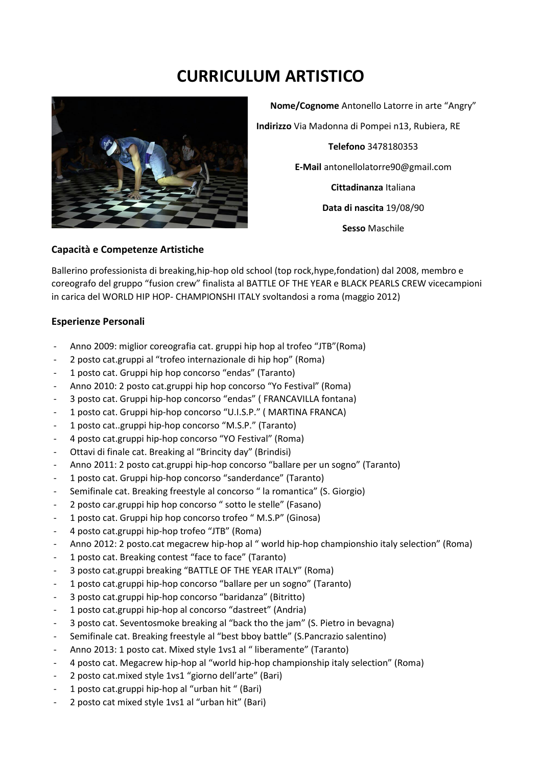## **CURRICULUM ARTISTICO**



**Nome/Cognome** Antonello Latorre in arte "Angry" **Indirizzo** Via Madonna di Pompei n13, Rubiera, RE **Telefono** 3478180353 **E-Mail** antonellolatorre90@gmail.com **Cittadinanza** Italiana **Data di nascita** 19/08/90 **Sesso** Maschile

## **Capacità e Competenze Artistiche**

Ballerino professionista di breaking,hip-hop old school (top rock,hype,fondation) dal 2008, membro e coreografo del gruppo "fusion crew" finalista al BATTLE OF THE YEAR e BLACK PEARLS CREW vicecampioni in carica del WORLD HIP HOP- CHAMPIONSHI ITALY svoltandosi a roma (maggio 2012)

## **Esperienze Personali**

- Anno 2009: miglior coreografia cat. gruppi hip hop al trofeo "JTB"(Roma)
- 2 posto cat.gruppi al "trofeo internazionale di hip hop" (Roma)
- 1 posto cat. Gruppi hip hop concorso "endas" (Taranto)
- Anno 2010: 2 posto cat.gruppi hip hop concorso "Yo Festival" (Roma)
- 3 posto cat. Gruppi hip-hop concorso "endas" (FRANCAVILLA fontana)
- 1 posto cat. Gruppi hip-hop concorso "U.I.S.P." ( MARTINA FRANCA)
- 1 posto cat..gruppi hip-hop concorso "M.S.P." (Taranto)
- 4 posto cat.gruppi hip-hop concorso "YO Festival" (Roma)
- Ottavi di finale cat. Breaking al "Brincity day" (Brindisi)
- Anno 2011: 2 posto cat.gruppi hip-hop concorso "ballare per un sogno" (Taranto)
- 1 posto cat. Gruppi hip-hop concorso "sanderdance" (Taranto)
- Semifinale cat. Breaking freestyle al concorso " la romantica" (S. Giorgio)
- 2 posto car.gruppi hip hop concorso " sotto le stelle" (Fasano)
- 1 posto cat. Gruppi hip hop concorso trofeo " M.S.P" (Ginosa)
- 4 posto cat.gruppi hip-hop trofeo "JTB" (Roma)
- Anno 2012: 2 posto.cat megacrew hip-hop al " world hip-hop championshio italy selection" (Roma)
- 1 posto cat. Breaking contest "face to face" (Taranto)
- 3 posto cat.gruppi breaking "BATTLE OF THE YEAR ITALY" (Roma)
- 1 posto cat.gruppi hip-hop concorso "ballare per un sogno" (Taranto)
- 3 posto cat.gruppi hip-hop concorso "baridanza" (Bitritto)
- 1 posto cat.gruppi hip-hop al concorso "dastreet" (Andria)
- 3 posto cat. Seventosmoke breaking al "back tho the jam" (S. Pietro in bevagna)
- Semifinale cat. Breaking freestyle al "best bboy battle" (S.Pancrazio salentino)
- Anno 2013: 1 posto cat. Mixed style 1vs1 al " liberamente" (Taranto)
- 4 posto cat. Megacrew hip-hop al "world hip-hop championship italy selection" (Roma)
- 2 posto cat.mixed style 1vs1 "giorno dell'arte" (Bari)
- 1 posto cat.gruppi hip-hop al "urban hit " (Bari)
- 2 posto cat mixed style 1vs1 al "urban hit" (Bari)